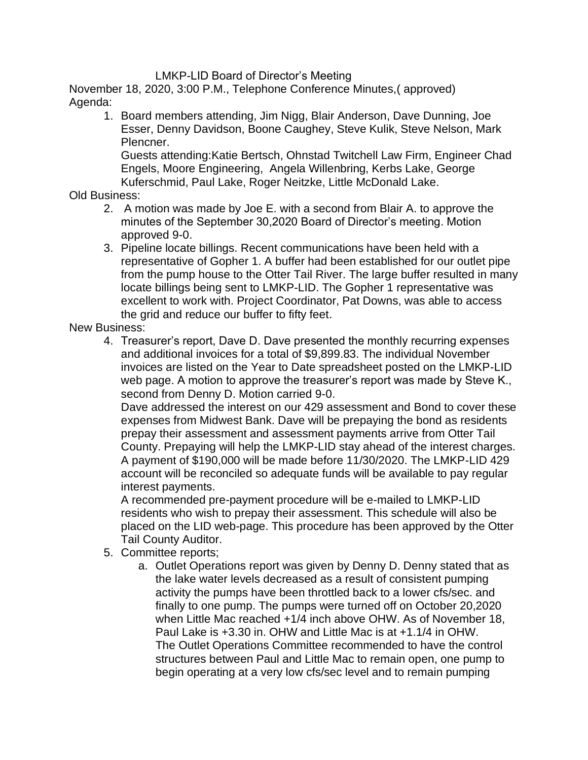## LMKP-LID Board of Director's Meeting

November 18, 2020, 3:00 P.M., Telephone Conference Minutes,( approved) Agenda:

1. Board members attending, Jim Nigg, Blair Anderson, Dave Dunning, Joe Esser, Denny Davidson, Boone Caughey, Steve Kulik, Steve Nelson, Mark Plencner.

Guests attending:Katie Bertsch, Ohnstad Twitchell Law Firm, Engineer Chad Engels, Moore Engineering, Angela Willenbring, Kerbs Lake, George Kuferschmid, Paul Lake, Roger Neitzke, Little McDonald Lake.

Old Business:

- 2. A motion was made by Joe E. with a second from Blair A. to approve the minutes of the September 30,2020 Board of Director's meeting. Motion approved 9-0.
- 3. Pipeline locate billings. Recent communications have been held with a representative of Gopher 1. A buffer had been established for our outlet pipe from the pump house to the Otter Tail River. The large buffer resulted in many locate billings being sent to LMKP-LID. The Gopher 1 representative was excellent to work with. Project Coordinator, Pat Downs, was able to access the grid and reduce our buffer to fifty feet.

New Business:

4. Treasurer's report, Dave D. Dave presented the monthly recurring expenses and additional invoices for a total of \$9,899.83. The individual November invoices are listed on the Year to Date spreadsheet posted on the LMKP-LID web page. A motion to approve the treasurer's report was made by Steve K., second from Denny D. Motion carried 9-0.

Dave addressed the interest on our 429 assessment and Bond to cover these expenses from Midwest Bank. Dave will be prepaying the bond as residents prepay their assessment and assessment payments arrive from Otter Tail County. Prepaying will help the LMKP-LID stay ahead of the interest charges. A payment of \$190,000 will be made before 11/30/2020. The LMKP-LID 429 account will be reconciled so adequate funds will be available to pay regular interest payments.

A recommended pre-payment procedure will be e-mailed to LMKP-LID residents who wish to prepay their assessment. This schedule will also be placed on the LID web-page. This procedure has been approved by the Otter Tail County Auditor.

- 5. Committee reports;
	- a. Outlet Operations report was given by Denny D. Denny stated that as the lake water levels decreased as a result of consistent pumping activity the pumps have been throttled back to a lower cfs/sec. and finally to one pump. The pumps were turned off on October 20,2020 when Little Mac reached +1/4 inch above OHW. As of November 18, Paul Lake is +3.30 in. OHW and Little Mac is at +1.1/4 in OHW. The Outlet Operations Committee recommended to have the control structures between Paul and Little Mac to remain open, one pump to begin operating at a very low cfs/sec level and to remain pumping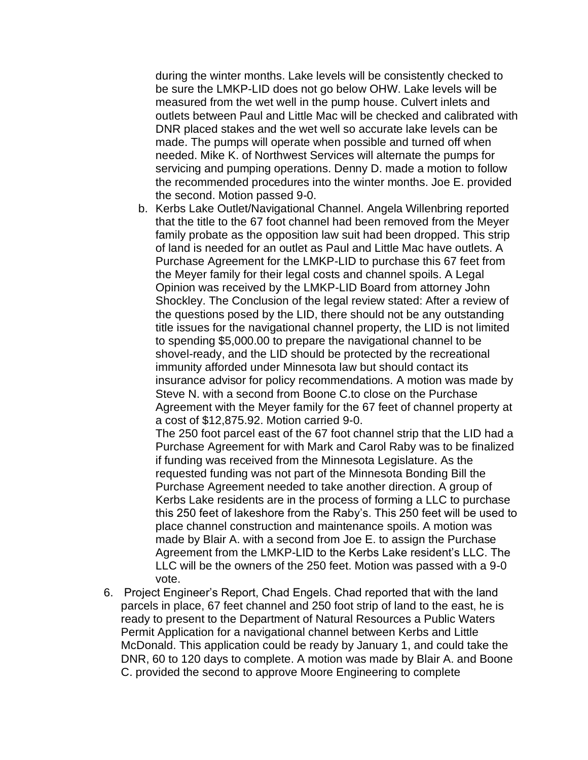during the winter months. Lake levels will be consistently checked to be sure the LMKP-LID does not go below OHW. Lake levels will be measured from the wet well in the pump house. Culvert inlets and outlets between Paul and Little Mac will be checked and calibrated with DNR placed stakes and the wet well so accurate lake levels can be made. The pumps will operate when possible and turned off when needed. Mike K. of Northwest Services will alternate the pumps for servicing and pumping operations. Denny D. made a motion to follow the recommended procedures into the winter months. Joe E. provided the second. Motion passed 9-0.

b. Kerbs Lake Outlet/Navigational Channel. Angela Willenbring reported that the title to the 67 foot channel had been removed from the Meyer family probate as the opposition law suit had been dropped. This strip of land is needed for an outlet as Paul and Little Mac have outlets. A Purchase Agreement for the LMKP-LID to purchase this 67 feet from the Meyer family for their legal costs and channel spoils. A Legal Opinion was received by the LMKP-LID Board from attorney John Shockley. The Conclusion of the legal review stated: After a review of the questions posed by the LID, there should not be any outstanding title issues for the navigational channel property, the LID is not limited to spending \$5,000.00 to prepare the navigational channel to be shovel-ready, and the LID should be protected by the recreational immunity afforded under Minnesota law but should contact its insurance advisor for policy recommendations. A motion was made by Steve N. with a second from Boone C.to close on the Purchase Agreement with the Meyer family for the 67 feet of channel property at a cost of \$12,875.92. Motion carried 9-0.

The 250 foot parcel east of the 67 foot channel strip that the LID had a Purchase Agreement for with Mark and Carol Raby was to be finalized if funding was received from the Minnesota Legislature. As the requested funding was not part of the Minnesota Bonding Bill the Purchase Agreement needed to take another direction. A group of Kerbs Lake residents are in the process of forming a LLC to purchase this 250 feet of lakeshore from the Raby's. This 250 feet will be used to place channel construction and maintenance spoils. A motion was made by Blair A. with a second from Joe E. to assign the Purchase Agreement from the LMKP-LID to the Kerbs Lake resident's LLC. The LLC will be the owners of the 250 feet. Motion was passed with a 9-0 vote.

6. Project Engineer's Report, Chad Engels. Chad reported that with the land parcels in place, 67 feet channel and 250 foot strip of land to the east, he is ready to present to the Department of Natural Resources a Public Waters Permit Application for a navigational channel between Kerbs and Little McDonald. This application could be ready by January 1, and could take the DNR, 60 to 120 days to complete. A motion was made by Blair A. and Boone C. provided the second to approve Moore Engineering to complete